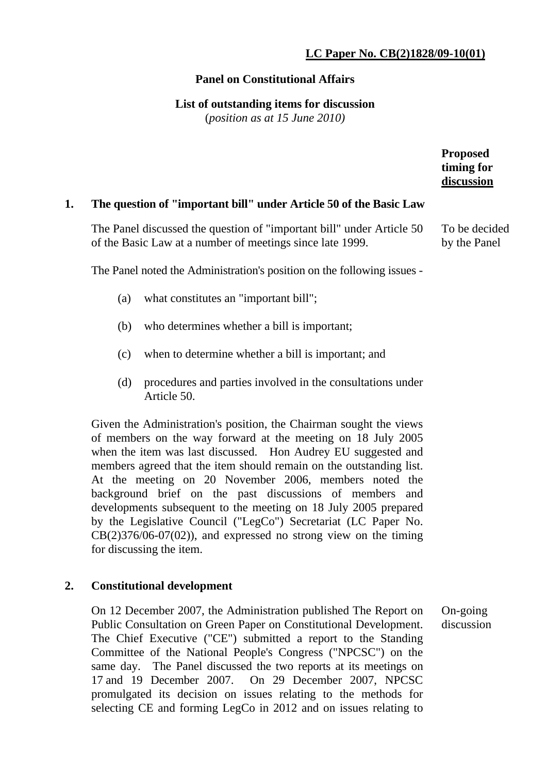# **LC Paper No. CB(2)1828/09-10(01)**

### **Panel on Constitutional Affairs**

#### **List of outstanding items for discussion**

(*position as at 15 June 2010)*

|    |                                                                                                                                    | <b>Proposed</b><br>timing for<br>discussion |
|----|------------------------------------------------------------------------------------------------------------------------------------|---------------------------------------------|
| 1. | The question of "important bill" under Article 50 of the Basic Law                                                                 |                                             |
|    | The Panel discussed the question of "important bill" under Article 50<br>of the Basic Law at a number of meetings since late 1999. | To be decided<br>by the Panel               |
|    | The Panel noted the Administration's position on the following issues -                                                            |                                             |
|    | $\sqrt{2}$ 1 $\sqrt{2}$ $\sqrt{2}$ 10 $\sqrt{2}$ $\sqrt{2}$ 1111                                                                   |                                             |

- (a) what constitutes an "important bill";
- (b) who determines whether a bill is important;
- (c) when to determine whether a bill is important; and
- (d) procedures and parties involved in the consultations under Article 50.

Given the Administration's position, the Chairman sought the views of members on the way forward at the meeting on 18 July 2005 when the item was last discussed. Hon Audrey EU suggested and members agreed that the item should remain on the outstanding list. At the meeting on 20 November 2006, members noted the background brief on the past discussions of members and developments subsequent to the meeting on 18 July 2005 prepared by the Legislative Council ("LegCo") Secretariat (LC Paper No.  $CB(2)376/06-07(02)$ , and expressed no strong view on the timing for discussing the item.

## **2. Constitutional development**

On 12 December 2007, the Administration published The Report on Public Consultation on Green Paper on Constitutional Development. The Chief Executive ("CE") submitted a report to the Standing Committee of the National People's Congress ("NPCSC") on the same day. The Panel discussed the two reports at its meetings on 17 and 19 December 2007. On 29 December 2007, NPCSC promulgated its decision on issues relating to the methods for selecting CE and forming LegCo in 2012 and on issues relating to On-going discussion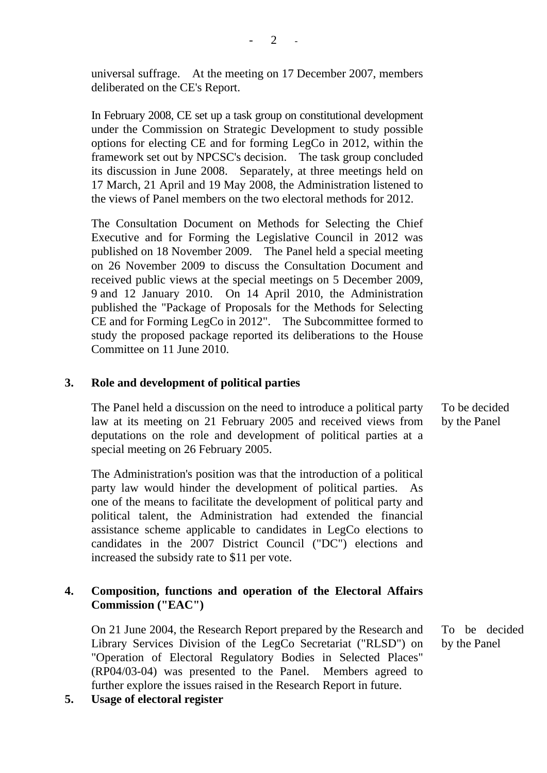universal suffrage. At the meeting on 17 December 2007, members deliberated on the CE's Report.

In February 2008, CE set up a task group on constitutional development under the Commission on Strategic Development to study possible options for electing CE and for forming LegCo in 2012, within the framework set out by NPCSC's decision. The task group concluded its discussion in June 2008. Separately, at three meetings held on 17 March, 21 April and 19 May 2008, the Administration listened to the views of Panel members on the two electoral methods for 2012.

The Consultation Document on Methods for Selecting the Chief Executive and for Forming the Legislative Council in 2012 was published on 18 November 2009. The Panel held a special meeting on 26 November 2009 to discuss the Consultation Document and received public views at the special meetings on 5 December 2009, 9 and 12 January 2010. On 14 April 2010, the Administration published the "Package of Proposals for the Methods for Selecting CE and for Forming LegCo in 2012". The Subcommittee formed to study the proposed package reported its deliberations to the House Committee on 11 June 2010.

### **3. Role and development of political parties**

The Panel held a discussion on the need to introduce a political party law at its meeting on 21 February 2005 and received views from deputations on the role and development of political parties at a special meeting on 26 February 2005.

The Administration's position was that the introduction of a political party law would hinder the development of political parties. As one of the means to facilitate the development of political party and political talent, the Administration had extended the financial assistance scheme applicable to candidates in LegCo elections to candidates in the 2007 District Council ("DC") elections and increased the subsidy rate to \$11 per vote.

## **4. Composition, functions and operation of the Electoral Affairs Commission ("EAC")**

On 21 June 2004, the Research Report prepared by the Research and Library Services Division of the LegCo Secretariat ("RLSD") on "Operation of Electoral Regulatory Bodies in Selected Places" (RP04/03-04) was presented to the Panel. Members agreed to further explore the issues raised in the Research Report in future.

**5. Usage of electoral register** 

To be decided by the Panel

To be decided by the Panel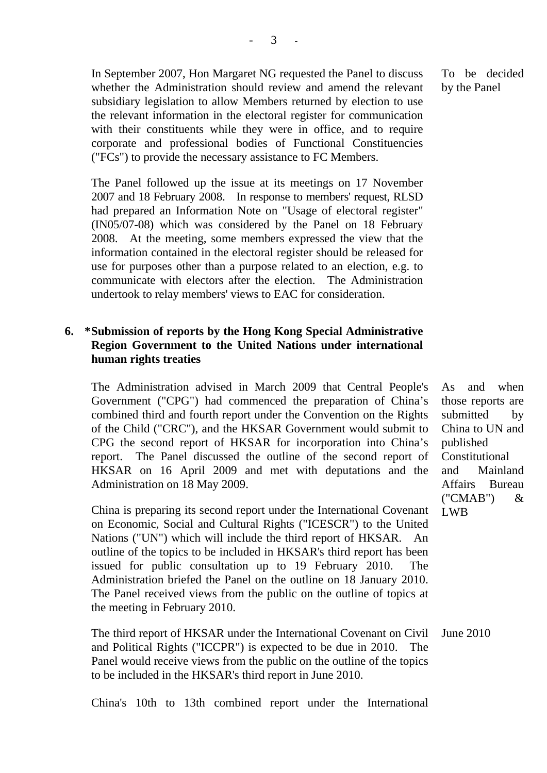In September 2007, Hon Margaret NG requested the Panel to discuss whether the Administration should review and amend the relevant subsidiary legislation to allow Members returned by election to use the relevant information in the electoral register for communication with their constituents while they were in office, and to require corporate and professional bodies of Functional Constituencies ("FCs") to provide the necessary assistance to FC Members.

The Panel followed up the issue at its meetings on 17 November 2007 and 18 February 2008. In response to members' request, RLSD had prepared an Information Note on "Usage of electoral register" (IN05/07-08) which was considered by the Panel on 18 February 2008. At the meeting, some members expressed the view that the information contained in the electoral register should be released for use for purposes other than a purpose related to an election, e.g. to communicate with electors after the election. The Administration undertook to relay members' views to EAC for consideration.

### **6. \* Submission of reports by the Hong Kong Special Administrative Region Government to the United Nations under international human rights treaties**

The Administration advised in March 2009 that Central People's Government ("CPG") had commenced the preparation of China's combined third and fourth report under the Convention on the Rights of the Child ("CRC"), and the HKSAR Government would submit to CPG the second report of HKSAR for incorporation into China's report. The Panel discussed the outline of the second report of HKSAR on 16 April 2009 and met with deputations and the Administration on 18 May 2009.

China is preparing its second report under the International Covenant on Economic, Social and Cultural Rights ("ICESCR") to the United Nations ("UN") which will include the third report of HKSAR. An outline of the topics to be included in HKSAR's third report has been issued for public consultation up to 19 February 2010. The Administration briefed the Panel on the outline on 18 January 2010. The Panel received views from the public on the outline of topics at the meeting in February 2010.

The third report of HKSAR under the International Covenant on Civil and Political Rights ("ICCPR") is expected to be due in 2010. The Panel would receive views from the public on the outline of the topics to be included in the HKSAR's third report in June 2010. June 2010

To be decided by the Panel

As and when those reports are submitted by China to UN and published Constitutional and Mainland Affairs Bureau ("CMAB") & LWB

China's 10th to 13th combined report under the International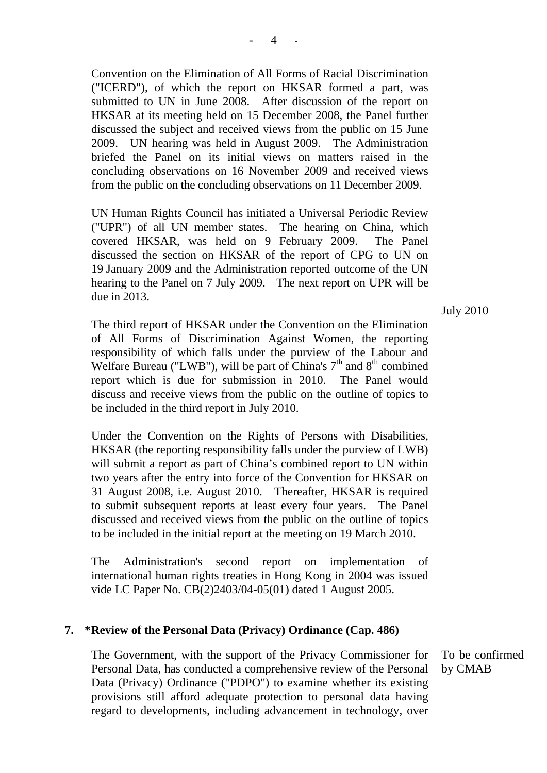Convention on the Elimination of All Forms of Racial Discrimination ("ICERD"), of which the report on HKSAR formed a part, was submitted to UN in June 2008. After discussion of the report on HKSAR at its meeting held on 15 December 2008, the Panel further discussed the subject and received views from the public on 15 June 2009. UN hearing was held in August 2009. The Administration briefed the Panel on its initial views on matters raised in the concluding observations on 16 November 2009 and received views from the public on the concluding observations on 11 December 2009.

UN Human Rights Council has initiated a Universal Periodic Review ("UPR") of all UN member states. The hearing on China, which covered HKSAR, was held on 9 February 2009. The Panel discussed the section on HKSAR of the report of CPG to UN on 19 January 2009 and the Administration reported outcome of the UN hearing to the Panel on 7 July 2009. The next report on UPR will be due in 2013.

The third report of HKSAR under the Convention on the Elimination of All Forms of Discrimination Against Women, the reporting responsibility of which falls under the purview of the Labour and Welfare Bureau ("LWB"), will be part of China's  $7<sup>th</sup>$  and  $8<sup>th</sup>$  combined report which is due for submission in 2010. The Panel would discuss and receive views from the public on the outline of topics to be included in the third report in July 2010.

Under the Convention on the Rights of Persons with Disabilities, HKSAR (the reporting responsibility falls under the purview of LWB) will submit a report as part of China's combined report to UN within two years after the entry into force of the Convention for HKSAR on 31 August 2008, i.e. August 2010. Thereafter, HKSAR is required to submit subsequent reports at least every four years. The Panel discussed and received views from the public on the outline of topics to be included in the initial report at the meeting on 19 March 2010.

The Administration's second report on implementation of international human rights treaties in Hong Kong in 2004 was issued vide LC Paper No. CB(2)2403/04-05(01) dated 1 August 2005.

#### **7. \* Review of the Personal Data (Privacy) Ordinance (Cap. 486)**

The Government, with the support of the Privacy Commissioner for Personal Data, has conducted a comprehensive review of the Personal Data (Privacy) Ordinance ("PDPO") to examine whether its existing provisions still afford adequate protection to personal data having regard to developments, including advancement in technology, over

To be confirmed by CMAB

July 2010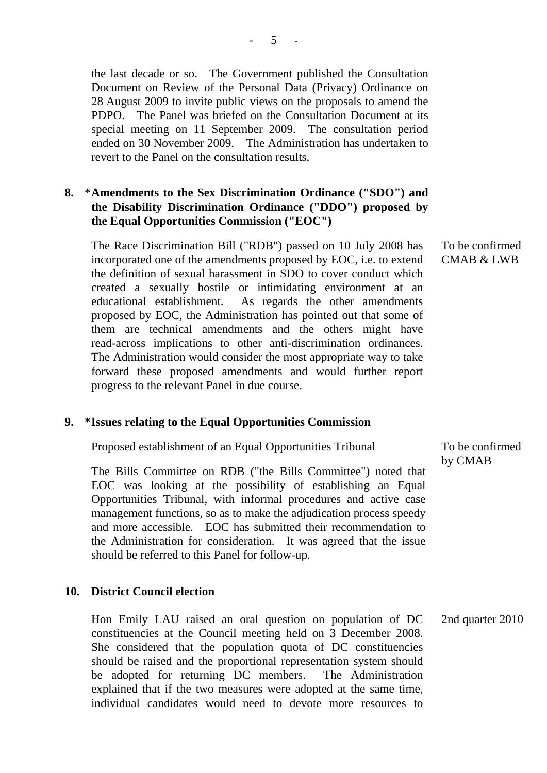the last decade or so. The Government published the Consultation Document on Review of the Personal Data (Privacy) Ordinance on 28 August 2009 to invite public views on the proposals to amend the PDPO. The Panel was briefed on the Consultation Document at its special meeting on 11 September 2009. The consultation period ended on 30 November 2009. The Administration has undertaken to revert to the Panel on the consultation results.

## **8.** \* **Amendments to the Sex Discrimination Ordinance ("SDO") and the Disability Discrimination Ordinance ("DDO") proposed by the Equal Opportunities Commission ("EOC")**

The Race Discrimination Bill ("RDB") passed on 10 July 2008 has incorporated one of the amendments proposed by EOC, i.e. to extend the definition of sexual harassment in SDO to cover conduct which created a sexually hostile or intimidating environment at an educational establishment. As regards the other amendments proposed by EOC, the Administration has pointed out that some of them are technical amendments and the others might have read-across implications to other anti-discrimination ordinances. The Administration would consider the most appropriate way to take forward these proposed amendments and would further report progress to the relevant Panel in due course.

#### **9. \* Issues relating to the Equal Opportunities Commission**

### Proposed establishment of an Equal Opportunities Tribunal

The Bills Committee on RDB ("the Bills Committee") noted that EOC was looking at the possibility of establishing an Equal Opportunities Tribunal, with informal procedures and active case management functions, so as to make the adjudication process speedy and more accessible. EOC has submitted their recommendation to the Administration for consideration. It was agreed that the issue should be referred to this Panel for follow-up.

### **10. District Council election**

Hon Emily LAU raised an oral question on population of DC constituencies at the Council meeting held on 3 December 2008. She considered that the population quota of DC constituencies should be raised and the proportional representation system should be adopted for returning DC members. The Administration explained that if the two measures were adopted at the same time, individual candidates would need to devote more resources to

To be confirmed CMAB & LWB

To be confirmed by CMAB

2nd quarter 2010